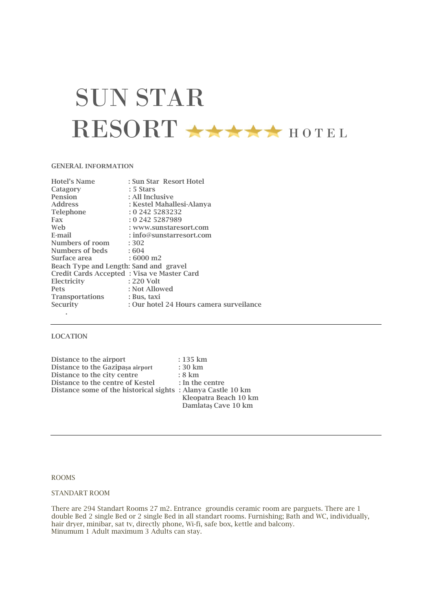# SUN STAR RESORT \*\*\*\*\* HOTEL

## **GENERAL INFORMATION**

| <b>Hotel's Name</b>                        | : Sun Star Resort Hotel                 |
|--------------------------------------------|-----------------------------------------|
| Catagory                                   | $: 5$ Stars                             |
| <b>Pension</b>                             | : All Inclusive                         |
| <b>Address</b>                             | : Kestel Mahallesi-Alanya               |
| <b>Telephone</b>                           | $: 0$ 242 5283232                       |
| Fax                                        | : 0 242 5287989                         |
| Web                                        | : www.sunstaresort.com                  |
| E-mail                                     | $:$ info@sunstarresort.com              |
| Numbers of room : 302                      |                                         |
| Numbers of beds : 604                      |                                         |
| Surface area                               | $:6000 \text{ m2}$                      |
| Beach Type and Length: Sand and gravel     |                                         |
| Credit Cards Accepted: Visa ve Master Card |                                         |
| Electricity                                | $: 220$ Volt                            |
| <b>Pets</b>                                | : Not Allowed                           |
| <b>Transportations</b>                     | : Bus, taxi                             |
| <b>Security</b>                            | : Our hotel 24 Hours camera surveilance |
|                                            |                                         |

# **LOCATION**

**Distance to the airport** : 135 km<br>Distance to the Gazipasa airport : 30 km **Distance to the Gazipaşa airport : 30 km Distance to the city centre : 8 km Distance to the centre of Kestel : In the centre Distance some of the historical sights : Alanya Castle 10 km** 

 **Kleopatra Beach 10 km Damlataş Cave 10 km**

#### ROOMS

## STANDART ROOM

There are 294 Standart Rooms 27 m2. Entrance groundis ceramic room are parguets. There are 1 double Bed 2 single Bed or 2 single Bed in all standart rooms. Furnishing; Bath and WC, individually, hair dryer, minibar, sat tv, directly phone, Wi-fi, safe box, kettle and balcony. Minumum 1 Adult maximum 3 Adults can stay.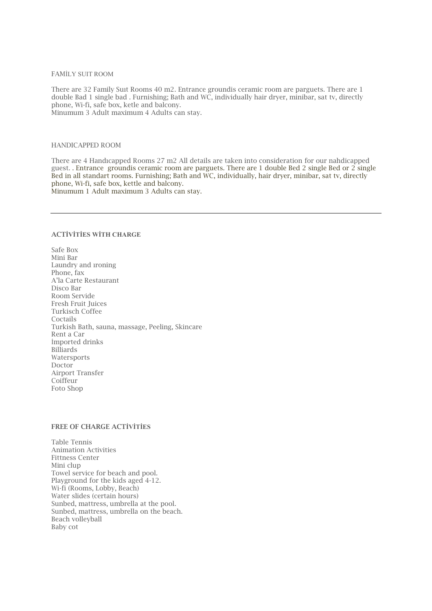#### FAMİLY SUIT ROOM

There are 32 Family Suıt Rooms 40 m2. Entrance groundis ceramic room are parguets. There are 1 double Bad 1 single bad . Furnishing; Bath and WC, individually hair dryer, minibar, sat tv, directly phone, Wi-fi, safe box, ketle and balcony. Minumum 3 Adult maximum 4 Adults can stay.

## HANDICAPPED ROOM

There are 4 Handıcapped Rooms 27 m2 All details are taken into consideration for our nahdicapped guest. . Entrance groundis ceramic room are parguets. There are 1 double Bed 2 single Bed or 2 single Bed in all standart rooms. Furnishing; Bath and WC, individually, hair dryer, minibar, sat tv, directly phone, Wi-fi, safe box, kettle and balcony. Minumum 1 Adult maximum 3 Adults can stay.

# **ACTİVİTİES WİTH CHARGE**

Safe Box Mini Bar Laundry and ıroning Phone, fax A'la Carte Restaurant Disco Bar Room Servide Fresh Fruit Juices Turkisch Coffee Coctails Turkish Bath, sauna, massage, Peeling, Skincare Rent a Car İmported drinks Billiards Watersports Doctor Airport Transfer Coiffeur Foto Shop

# **FREE OF CHARGE ACTİVİTİES**

Table Tennis Animation Activities Fittness Center Mini clup Towel service for beach and pool. Playground for the kids aged 4-12. Wi-fi (Rooms, Lobby, Beach) Water slides (certain hours) Sunbed, mattress, umbrella at the pool. Sunbed, mattress, umbrella on the beach. Beach volleyball Baby cot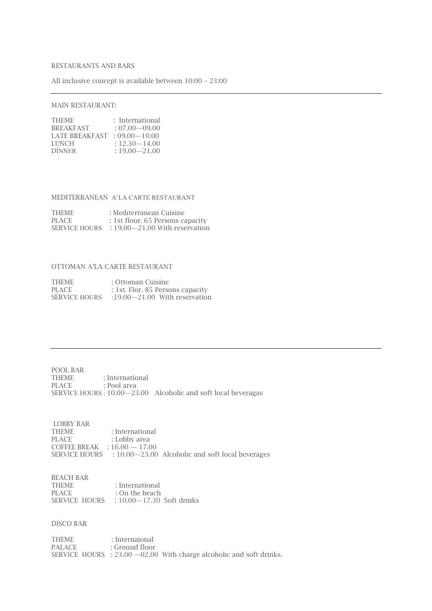# RESTAURANTS AND BARS

All inclusive concept is available between 10:00 – 23:00

#### MAIN RESTAURANT:

| <b>THEME</b>          | : International   |
|-----------------------|-------------------|
| <b>BREAKFAST</b>      | $: 07.00 - 09.00$ |
| <b>LATE BREAKFAST</b> | $: 09.00 - 10.00$ |
| LUNCH                 | $: 12.30 - 14.00$ |
| <b>DİNNER</b>         | $: 19.00 - 21.00$ |

#### MEDITERRANEAN A'LA CARTE RESTAURANT

| <b>THEME</b>         | : Mediterranean Cuisine            |
|----------------------|------------------------------------|
| <b>PLACE</b>         | : 1st floor. 65 Persons capacity   |
| <b>SERVICE HOURS</b> | $: 19.00 - 21.00$ With reservation |

#### OTTOMAN A'LA CARTE RESTAURANT

| <b>THEME</b>         | : Ottoman Cuisine                |
|----------------------|----------------------------------|
| <b>PLACE</b>         | : 1st. Flor. 85 Persons capacity |
| <b>SERVICE HOURS</b> | $:19.00-21.00$ With reservation  |

POOL BAR THEME : International PLACE : Pool area SERVİCE HOURS : 10.00—23.00 Alcoholic and soft local beveragas

LOBBY BAR THEME : International PLACE : Lobby area COFFEE BREAK : 16.00 — 17.00 SERVICE HOURS : 10.00-23.00 Alcoholic and soft local beverages

| <b>BEACH BAR</b>     |                               |  |
|----------------------|-------------------------------|--|
| <b>THEME</b>         | : International               |  |
| PLACE.               | : On the beach                |  |
| <b>SERVICE HOURS</b> | $: 10.00 - 17.30$ Soft drinks |  |

# DİSCO BAR

THEME : Internaional PALACE : Ground floor SERVİCE HOURS : 23.00 —02.00 With charge alcoholıc and soft drinks.